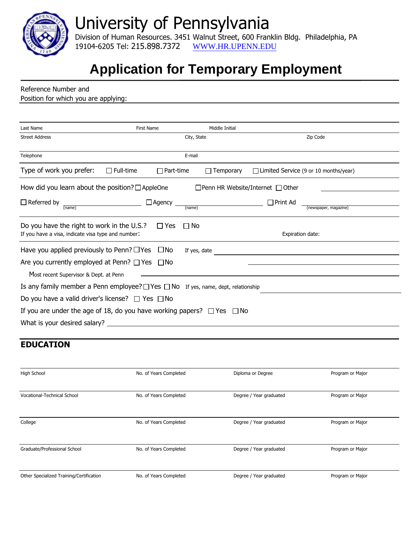

## University of Pennsylvania

Division of Human Resources. 3451 Walnut Street, 600 Franklin Bldg. Philadelphia, PA 19104-6205 Tel: 215.898.7372 WWW.H[R.UPENN.EDU](http://www.hr.upenn.edu/)

## **Application for Temporary Employment**

| Last Name                                                                                        | <b>First Name</b>    | Middle Initial                               |                                          |  |  |
|--------------------------------------------------------------------------------------------------|----------------------|----------------------------------------------|------------------------------------------|--|--|
| <b>Street Address</b>                                                                            |                      | City, State                                  | Zip Code                                 |  |  |
| Telephone                                                                                        |                      | E-mail                                       |                                          |  |  |
| Type of work you prefer:<br>$\Box$ Full-time                                                     | $\Box$ Part-time     | $\Box$ Temporary                             | □ Limited Service (9 or 10 months/year)  |  |  |
| How did you learn about the position? $\Box$ AppleOne                                            |                      | $\Box$ Penn HR Website/Internet $\Box$ Other |                                          |  |  |
| $\Box$ Referred by<br>$(\overline{\text{name}})$                                                 | $\Box$ Agency $\Box$ | (name)                                       | $\Box$ Print Ad<br>(newspaper, magazine) |  |  |
|                                                                                                  |                      |                                              |                                          |  |  |
| Do you have the right to work in the U.S.?<br>If you have a visa, indicate visa type and number: | $\square$ Yes        | $\Box$ No                                    | Expiration date:                         |  |  |
| Have you applied previously to Penn? $\Box$ Yes $\Box$ No                                        |                      | If yes, date                                 |                                          |  |  |
| Are you currently employed at Penn? $\Box$ Yes $\Box$ No                                         |                      |                                              |                                          |  |  |
| Most recent Supervisor & Dept. at Penn                                                           |                      |                                              |                                          |  |  |
| Is any family member a Penn employee? $\Box$ Yes $\Box$ No If yes, name, dept, relationship      |                      |                                              |                                          |  |  |
| Do you have a valid driver's license? $\Box$ Yes $\Box$ No                                       |                      |                                              |                                          |  |  |
| If you are under the age of 18, do you have working papers? $\Box$ Yes $\Box$ No                 |                      |                                              |                                          |  |  |
|                                                                                                  |                      |                                              |                                          |  |  |

| High School                              | No. of Years Completed | Diploma or Degree       | Program or Major |
|------------------------------------------|------------------------|-------------------------|------------------|
| Vocational-Technical School              | No. of Years Completed | Degree / Year graduated | Program or Major |
| College                                  | No. of Years Completed | Degree / Year graduated | Program or Major |
| Graduate/Professional School             | No. of Years Completed | Degree / Year graduated | Program or Major |
| Other Specialized Training/Certification | No. of Years Completed | Degree / Year graduated | Program or Major |